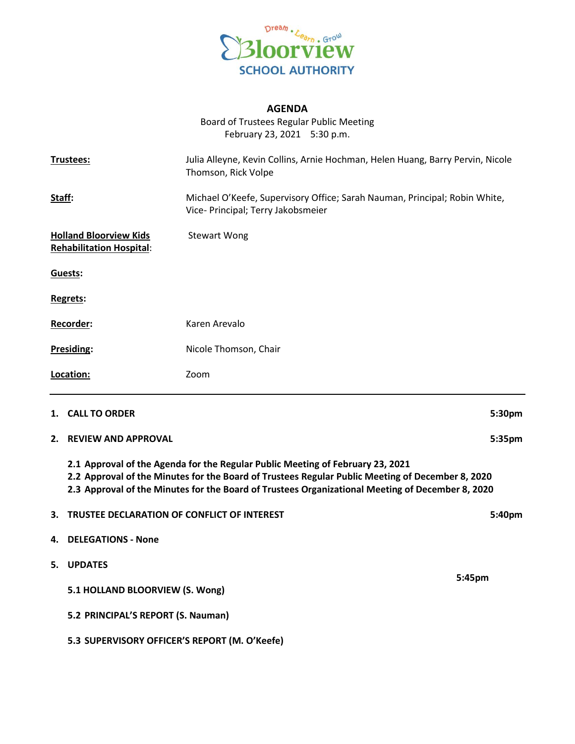

## **AGENDA**

Board of Trustees Regular Public Meeting February 23, 2021 5:30 p.m.

| Trustees:                                                                                                                                                                                                                                                                              |                                             | Julia Alleyne, Kevin Collins, Arnie Hochman, Helen Huang, Barry Pervin, Nicole<br>Thomson, Rick Volpe            |        |
|----------------------------------------------------------------------------------------------------------------------------------------------------------------------------------------------------------------------------------------------------------------------------------------|---------------------------------------------|------------------------------------------------------------------------------------------------------------------|--------|
| <u>Staff:</u>                                                                                                                                                                                                                                                                          |                                             | Michael O'Keefe, Supervisory Office; Sarah Nauman, Principal; Robin White,<br>Vice- Principal; Terry Jakobsmeier |        |
| <b>Holland Bloorview Kids</b><br><b>Rehabilitation Hospital:</b>                                                                                                                                                                                                                       |                                             | <b>Stewart Wong</b>                                                                                              |        |
|                                                                                                                                                                                                                                                                                        | Guests:                                     |                                                                                                                  |        |
|                                                                                                                                                                                                                                                                                        | Regrets:                                    |                                                                                                                  |        |
| Recorder:                                                                                                                                                                                                                                                                              |                                             | Karen Arevalo                                                                                                    |        |
| Presiding:                                                                                                                                                                                                                                                                             |                                             | Nicole Thomson, Chair                                                                                            |        |
|                                                                                                                                                                                                                                                                                        | Location:                                   | Zoom                                                                                                             |        |
|                                                                                                                                                                                                                                                                                        | 1. CALL TO ORDER                            |                                                                                                                  | 5:30pm |
| 2.                                                                                                                                                                                                                                                                                     | <b>REVIEW AND APPROVAL</b>                  |                                                                                                                  | 5:35pm |
| 2.1 Approval of the Agenda for the Regular Public Meeting of February 23, 2021<br>2.2 Approval of the Minutes for the Board of Trustees Regular Public Meeting of December 8, 2020<br>2.3 Approval of the Minutes for the Board of Trustees Organizational Meeting of December 8, 2020 |                                             |                                                                                                                  |        |
| 3.                                                                                                                                                                                                                                                                                     | TRUSTEE DECLARATION OF CONFLICT OF INTEREST |                                                                                                                  | 5:40pm |
| 4.                                                                                                                                                                                                                                                                                     | <b>DELEGATIONS - None</b>                   |                                                                                                                  |        |
|                                                                                                                                                                                                                                                                                        | 5. UPDATES                                  |                                                                                                                  | 5:45pm |
|                                                                                                                                                                                                                                                                                        | 5.1 HOLLAND BLOORVIEW (S. Wong)             |                                                                                                                  |        |

**5.3 SUPERVISORY OFFICER'S REPORT (M. O'Keefe)**

**5.2 PRINCIPAL'S REPORT (S. Nauman)**